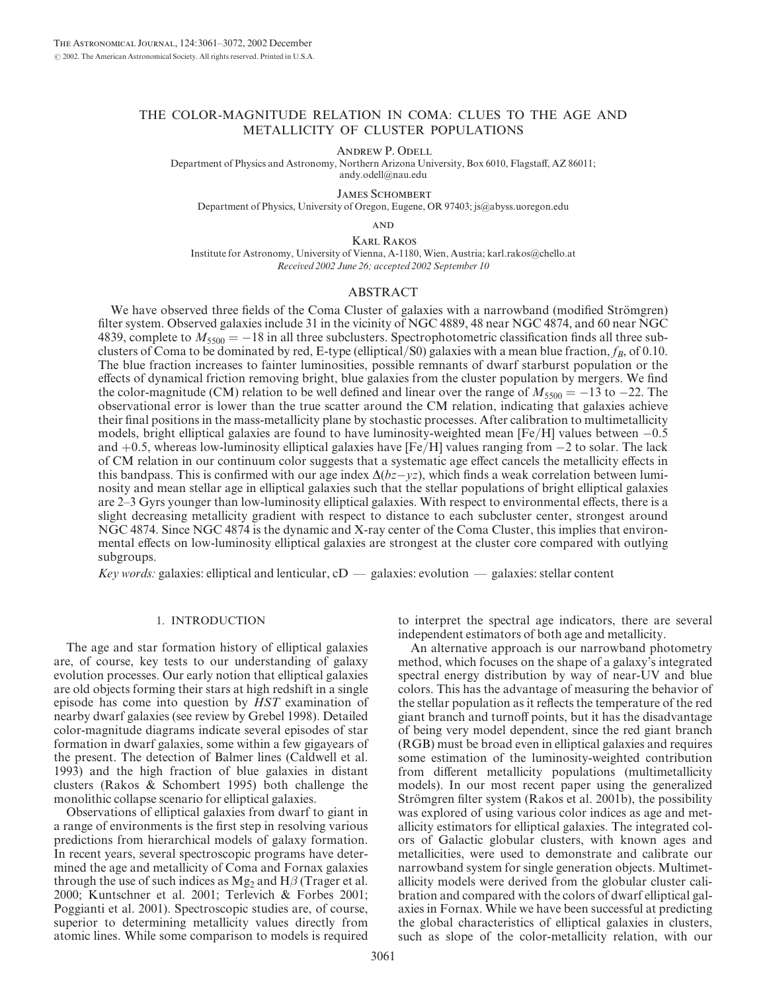## THE COLOR-MAGNITUDE RELATION IN COMA: CLUES TO THE AGE AND METALLICITY OF CLUSTER POPULATIONS

Andrew P. Odell

Department of Physics and Astronomy, Northern Arizona University, Box 6010, Flagstaff, AZ 86011; andy.odell@nau.edu

James Schombert

Department of Physics, University of Oregon, Eugene, OR 97403; js@abyss.uoregon.edu

 $AD$ 

Karl Rakos

Institute for Astronomy, University of Vienna, A-1180, Wien, Austria; karl.rakos@chello.at Received 2002 June 26; accepted 2002 September 10

## ABSTRACT

We have observed three fields of the Coma Cluster of galaxies with a narrowband (modified Strömgren) filter system. Observed galaxies include 31 in the vicinity of NGC 4889, 48 near NGC 4874, and 60 near NGC 4839, complete to  $M_{5500} = -18$  in all three subclusters. Spectrophotometric classification finds all three subclusters of Coma to be dominated by red, E-type (elliptical/S0) galaxies with a mean blue fraction,  $f_B$ , of 0.10. The blue fraction increases to fainter luminosities, possible remnants of dwarf starburst population or the effects of dynamical friction removing bright, blue galaxies from the cluster population by mergers. We find the color-magnitude (CM) relation to be well defined and linear over the range of  $M_{5500} = -13$  to  $-22$ . The observational error is lower than the true scatter around the CM relation, indicating that galaxies achieve their final positions in the mass-metallicity plane by stochastic processes. After calibration to multimetallicity models, bright elliptical galaxies are found to have luminosity-weighted mean  $[Fe/H]$  values between  $-0.5$ and  $+0.5$ , whereas low-luminosity elliptical galaxies have [Fe/H] values ranging from  $-2$  to solar. The lack of CM relation in our continuum color suggests that a systematic age effect cancels the metallicity effects in this bandpass. This is confirmed with our age index  $\Delta(bz-yz)$ , which finds a weak correlation between luminosity and mean stellar age in elliptical galaxies such that the stellar populations of bright elliptical galaxies are 2–3 Gyrs younger than low-luminosity elliptical galaxies. With respect to environmental effects, there is a slight decreasing metallicity gradient with respect to distance to each subcluster center, strongest around NGC 4874. Since NGC 4874 is the dynamic and X-ray center of the Coma Cluster, this implies that environmental effects on low-luminosity elliptical galaxies are strongest at the cluster core compared with outlying subgroups.

Key words: galaxies: elliptical and lenticular,  $cD$  — galaxies: evolution — galaxies: stellar content

### 1. INTRODUCTION

The age and star formation history of elliptical galaxies are, of course, key tests to our understanding of galaxy evolution processes. Our early notion that elliptical galaxies are old objects forming their stars at high redshift in a single episode has come into question by HST examination of nearby dwarf galaxies (see review by Grebel 1998). Detailed color-magnitude diagrams indicate several episodes of star formation in dwarf galaxies, some within a few gigayears of the present. The detection of Balmer lines (Caldwell et al. 1993) and the high fraction of blue galaxies in distant clusters (Rakos & Schombert 1995) both challenge the monolithic collapse scenario for elliptical galaxies.

Observations of elliptical galaxies from dwarf to giant in a range of environments is the first step in resolving various predictions from hierarchical models of galaxy formation. In recent years, several spectroscopic programs have determined the age and metallicity of Coma and Fornax galaxies through the use of such indices as  $Mg_2$  and  $H\beta$  (Trager et al. 2000; Kuntschner et al. 2001; Terlevich & Forbes 2001; Poggianti et al. 2001). Spectroscopic studies are, of course, superior to determining metallicity values directly from atomic lines. While some comparison to models is required

to interpret the spectral age indicators, there are several independent estimators of both age and metallicity.

An alternative approach is our narrowband photometry method, which focuses on the shape of a galaxy's integrated spectral energy distribution by way of near-UV and blue colors. This has the advantage of measuring the behavior of the stellar population as it reflects the temperature of the red giant branch and turnoff points, but it has the disadvantage of being very model dependent, since the red giant branch (RGB) must be broad even in elliptical galaxies and requires some estimation of the luminosity-weighted contribution from different metallicity populations (multimetallicity models). In our most recent paper using the generalized Strömgren filter system (Rakos et al. 2001b), the possibility was explored of using various color indices as age and metallicity estimators for elliptical galaxies. The integrated colors of Galactic globular clusters, with known ages and metallicities, were used to demonstrate and calibrate our narrowband system for single generation objects. Multimetallicity models were derived from the globular cluster calibration and compared with the colors of dwarf elliptical galaxies in Fornax. While we have been successful at predicting the global characteristics of elliptical galaxies in clusters, such as slope of the color-metallicity relation, with our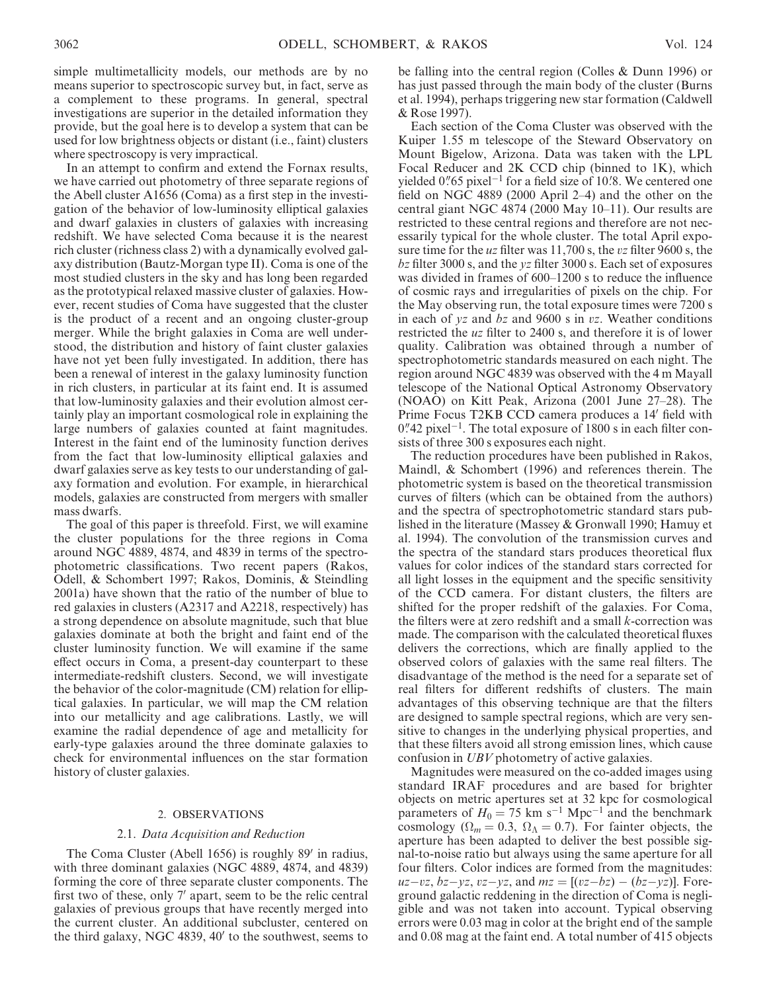simple multimetallicity models, our methods are by no means superior to spectroscopic survey but, in fact, serve as a complement to these programs. In general, spectral investigations are superior in the detailed information they provide, but the goal here is to develop a system that can be used for low brightness objects or distant (i.e., faint) clusters where spectroscopy is very impractical.

In an attempt to confirm and extend the Fornax results, we have carried out photometry of three separate regions of the Abell cluster A1656 (Coma) as a first step in the investigation of the behavior of low-luminosity elliptical galaxies and dwarf galaxies in clusters of galaxies with increasing redshift. We have selected Coma because it is the nearest rich cluster (richness class 2) with a dynamically evolved galaxy distribution (Bautz-Morgan type II). Coma is one of the most studied clusters in the sky and has long been regarded as the prototypical relaxed massive cluster of galaxies. However, recent studies of Coma have suggested that the cluster is the product of a recent and an ongoing cluster-group merger. While the bright galaxies in Coma are well understood, the distribution and history of faint cluster galaxies have not yet been fully investigated. In addition, there has been a renewal of interest in the galaxy luminosity function in rich clusters, in particular at its faint end. It is assumed that low-luminosity galaxies and their evolution almost certainly play an important cosmological role in explaining the large numbers of galaxies counted at faint magnitudes. Interest in the faint end of the luminosity function derives from the fact that low-luminosity elliptical galaxies and dwarf galaxies serve as key tests to our understanding of galaxy formation and evolution. For example, in hierarchical models, galaxies are constructed from mergers with smaller mass dwarfs.

The goal of this paper is threefold. First, we will examine the cluster populations for the three regions in Coma around NGC 4889, 4874, and 4839 in terms of the spectrophotometric classifications. Two recent papers (Rakos, Odell, & Schombert 1997; Rakos, Dominis, & Steindling 2001a) have shown that the ratio of the number of blue to red galaxies in clusters (A2317 and A2218, respectively) has a strong dependence on absolute magnitude, such that blue galaxies dominate at both the bright and faint end of the cluster luminosity function. We will examine if the same effect occurs in Coma, a present-day counterpart to these intermediate-redshift clusters. Second, we will investigate the behavior of the color-magnitude (CM) relation for elliptical galaxies. In particular, we will map the CM relation into our metallicity and age calibrations. Lastly, we will examine the radial dependence of age and metallicity for early-type galaxies around the three dominate galaxies to check for environmental influences on the star formation history of cluster galaxies.

## 2. OBSERVATIONS

### 2.1. Data Acquisition and Reduction

The Coma Cluster (Abell  $1656$ ) is roughly 89' in radius, with three dominant galaxies (NGC 4889, 4874, and 4839) forming the core of three separate cluster components. The first two of these, only  $7'$  apart, seem to be the relic central galaxies of previous groups that have recently merged into the current cluster. An additional subcluster, centered on the third galaxy, NGC 4839,  $40'$  to the southwest, seems to

be falling into the central region (Colles & Dunn 1996) or has just passed through the main body of the cluster (Burns et al. 1994), perhaps triggering new star formation (Caldwell & Rose 1997).

Each section of the Coma Cluster was observed with the Kuiper 1.55 m telescope of the Steward Observatory on Mount Bigelow, Arizona. Data was taken with the LPL Focal Reducer and 2K CCD chip (binned to 1K), which yielded  $0\rlap.{''}65$  pixel<sup>-1</sup> for a field size of 10.8. We centered one field on NGC 4889 (2000 April 2–4) and the other on the central giant NGC 4874 (2000 May 10–11). Our results are restricted to these central regions and therefore are not necessarily typical for the whole cluster. The total April exposure time for the  $uz$  filter was 11,700 s, the  $vz$  filter 9600 s, the bz filter 3000 s, and the yz filter 3000 s. Each set of exposures was divided in frames of 600–1200 s to reduce the influence of cosmic rays and irregularities of pixels on the chip. For the May observing run, the total exposure times were 7200 s in each of yz and bz and 9600 s in vz. Weather conditions restricted the uz filter to 2400 s, and therefore it is of lower quality. Calibration was obtained through a number of spectrophotometric standards measured on each night. The region around NGC 4839 was observed with the 4 m Mayall telescope of the National Optical Astronomy Observatory (NOAO) on Kitt Peak, Arizona (2001 June 27–28). The Prime Focus T2KB CCD camera produces a 14' field with  $0$ "42 pixel<sup>-1</sup>. The total exposure of 1800 s in each filter consists of three 300 s exposures each night.

The reduction procedures have been published in Rakos, Maindl, & Schombert (1996) and references therein. The photometric system is based on the theoretical transmission curves of filters (which can be obtained from the authors) and the spectra of spectrophotometric standard stars published in the literature (Massey & Gronwall 1990; Hamuy et al. 1994). The convolution of the transmission curves and the spectra of the standard stars produces theoretical flux values for color indices of the standard stars corrected for all light losses in the equipment and the specific sensitivity of the CCD camera. For distant clusters, the filters are shifted for the proper redshift of the galaxies. For Coma, the filters were at zero redshift and a small  $k$ -correction was made. The comparison with the calculated theoretical fluxes delivers the corrections, which are finally applied to the observed colors of galaxies with the same real filters. The disadvantage of the method is the need for a separate set of real filters for different redshifts of clusters. The main advantages of this observing technique are that the filters are designed to sample spectral regions, which are very sensitive to changes in the underlying physical properties, and that these filters avoid all strong emission lines, which cause confusion in UBV photometry of active galaxies.

Magnitudes were measured on the co-added images using standard IRAF procedures and are based for brighter objects on metric apertures set at 32 kpc for cosmological parameters of  $H_0 = 75$  km s<sup>-1</sup> Mpc<sup>-1</sup> and the benchmark cosmology ( $\Omega_m = 0.3$ ,  $\Omega_{\Lambda} = 0.7$ ). For fainter objects, the aperture has been adapted to deliver the best possible signal-to-noise ratio but always using the same aperture for all four filters. Color indices are formed from the magnitudes:  $uz-vz, bz-yz, vz-yz, and mz = [(vz-bz) - (bz-yz)].$  Foreground galactic reddening in the direction of Coma is negligible and was not taken into account. Typical observing errors were 0.03 mag in color at the bright end of the sample and 0.08 mag at the faint end. A total number of 415 objects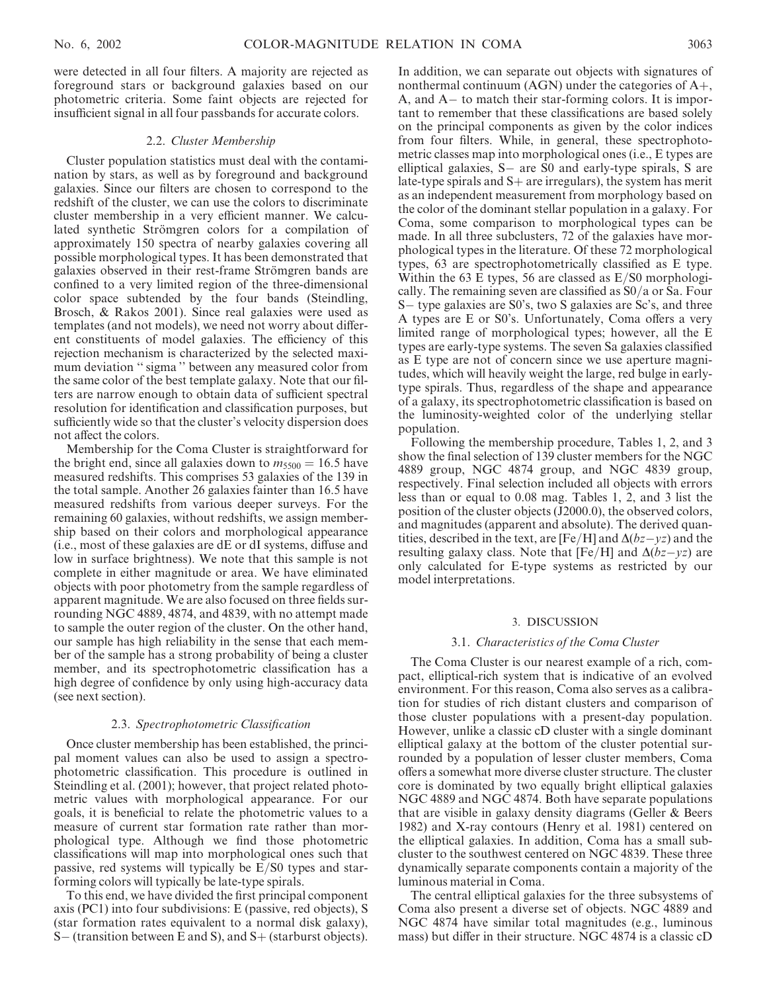were detected in all four filters. A majority are rejected as foreground stars or background galaxies based on our photometric criteria. Some faint objects are rejected for insufficient signal in all four passbands for accurate colors.

### 2.2. Cluster Membership

Cluster population statistics must deal with the contamination by stars, as well as by foreground and background galaxies. Since our filters are chosen to correspond to the redshift of the cluster, we can use the colors to discriminate cluster membership in a very efficient manner. We calculated synthetic Strömgren colors for a compilation of approximately 150 spectra of nearby galaxies covering all possible morphological types. It has been demonstrated that galaxies observed in their rest-frame Strömgren bands are confined to a very limited region of the three-dimensional color space subtended by the four bands (Steindling, Brosch, & Rakos 2001). Since real galaxies were used as templates (and not models), we need not worry about different constituents of model galaxies. The efficiency of this rejection mechanism is characterized by the selected maximum deviation '' sigma '' between any measured color from the same color of the best template galaxy. Note that our filters are narrow enough to obtain data of sufficient spectral resolution for identification and classification purposes, but sufficiently wide so that the cluster's velocity dispersion does not affect the colors.

Membership for the Coma Cluster is straightforward for the bright end, since all galaxies down to  $m_{5500} = 16.5$  have measured redshifts. This comprises 53 galaxies of the 139 in the total sample. Another 26 galaxies fainter than 16.5 have measured redshifts from various deeper surveys. For the remaining 60 galaxies, without redshifts, we assign membership based on their colors and morphological appearance (i.e., most of these galaxies are dE or dI systems, diffuse and low in surface brightness). We note that this sample is not complete in either magnitude or area. We have eliminated objects with poor photometry from the sample regardless of apparent magnitude. We are also focused on three fields surrounding NGC 4889, 4874, and 4839, with no attempt made to sample the outer region of the cluster. On the other hand, our sample has high reliability in the sense that each member of the sample has a strong probability of being a cluster member, and its spectrophotometric classification has a high degree of confidence by only using high-accuracy data (see next section).

## 2.3. Spectrophotometric Classification

Once cluster membership has been established, the principal moment values can also be used to assign a spectrophotometric classification. This procedure is outlined in Steindling et al. (2001); however, that project related photometric values with morphological appearance. For our goals, it is beneficial to relate the photometric values to a measure of current star formation rate rather than morphological type. Although we find those photometric classifications will map into morphological ones such that passive, red systems will typically be E/S0 types and starforming colors will typically be late-type spirals.

To this end, we have divided the first principal component axis (PC1) into four subdivisions: E (passive, red objects), S (star formation rates equivalent to a normal disk galaxy),  $S-$  (transition between E and S), and  $S+$  (starburst objects).

In addition, we can separate out objects with signatures of nonthermal continuum (AGN) under the categories of A+, A, and  $A-$  to match their star-forming colors. It is important to remember that these classifications are based solely on the principal components as given by the color indices from four filters. While, in general, these spectrophotometric classes map into morphological ones (i.e., E types are elliptical galaxies,  $S$  are S0 and early-type spirals, S are late-type spirals and  $S<sub>+</sub>$  are irregulars), the system has merit as an independent measurement from morphology based on the color of the dominant stellar population in a galaxy. For Coma, some comparison to morphological types can be made. In all three subclusters, 72 of the galaxies have morphological types in the literature. Of these 72 morphological types, 63 are spectrophotometrically classified as E type. Within the 63 E types, 56 are classed as E/S0 morphologically. The remaining seven are classified as S0/a or Sa. Four S - type galaxies are S0's, two S galaxies are Sc's, and three A types are E or S0's. Unfortunately, Coma offers a very limited range of morphological types; however, all the E types are early-type systems. The seven Sa galaxies classified as E type are not of concern since we use aperture magnitudes, which will heavily weight the large, red bulge in earlytype spirals. Thus, regardless of the shape and appearance of a galaxy, its spectrophotometric classification is based on the luminosity-weighted color of the underlying stellar population.

Following the membership procedure, Tables 1, 2, and 3 show the final selection of 139 cluster members for the NGC 4889 group, NGC 4874 group, and NGC 4839 group, respectively. Final selection included all objects with errors less than or equal to 0.08 mag. Tables 1, 2, and 3 list the position of the cluster objects (J2000.0), the observed colors, and magnitudes (apparent and absolute). The derived quantities, described in the text, are [Fe/H] and  $\Delta(bz-yz)$  and the resulting galaxy class. Note that [Fe/H] and  $\Delta(bz-yz)$  are only calculated for E-type systems as restricted by our model interpretations.

## 3. DISCUSSION

# 3.1. Characteristics of the Coma Cluster

The Coma Cluster is our nearest example of a rich, compact, elliptical-rich system that is indicative of an evolved environment. For this reason, Coma also serves as a calibration for studies of rich distant clusters and comparison of those cluster populations with a present-day population. However, unlike a classic cD cluster with a single dominant elliptical galaxy at the bottom of the cluster potential surrounded by a population of lesser cluster members, Coma offers a somewhat more diverse cluster structure. The cluster core is dominated by two equally bright elliptical galaxies NGC 4889 and NGC 4874. Both have separate populations that are visible in galaxy density diagrams (Geller  $\&$  Beers 1982) and X-ray contours (Henry et al. 1981) centered on the elliptical galaxies. In addition, Coma has a small subcluster to the southwest centered on NGC 4839. These three dynamically separate components contain a majority of the luminous material in Coma.

The central elliptical galaxies for the three subsystems of Coma also present a diverse set of objects. NGC 4889 and NGC 4874 have similar total magnitudes (e.g., luminous mass) but differ in their structure. NGC 4874 is a classic cD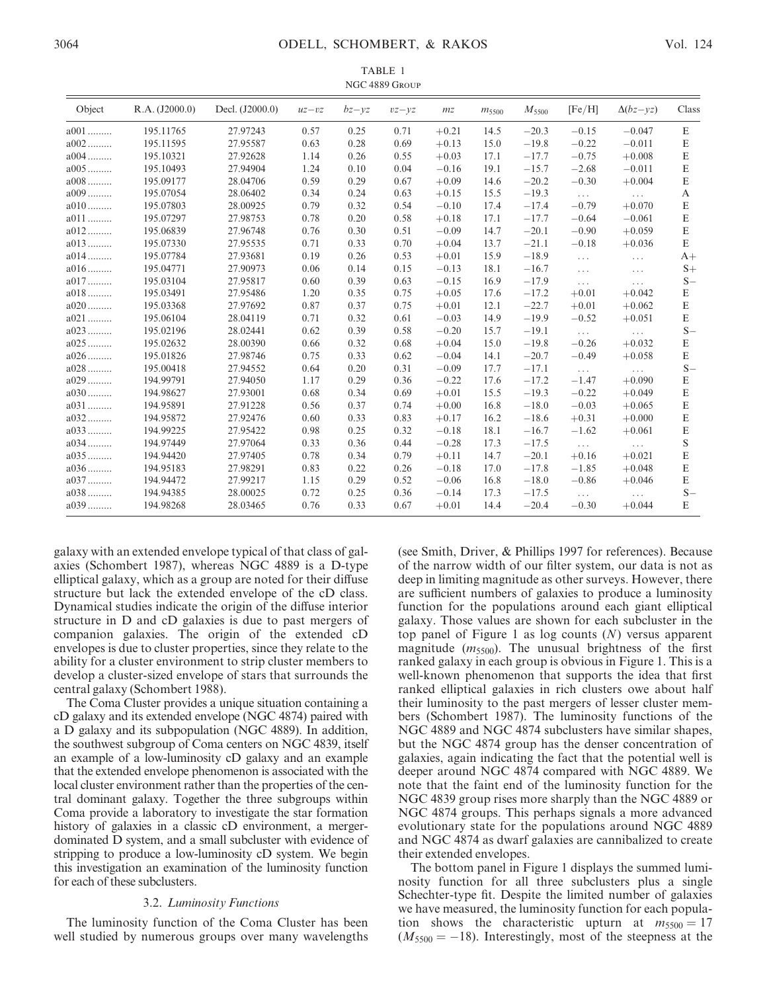## 3064 ODELL, SCHOMBERT, & RAKOS Vol. 124

TABLE 1 NGC 4889 Group

| Object | R.A. (J2000.0) | Decl. (J2000.0) | $uz-vz$ | $bz - yz$ | $vz - yz$ | mz      | $m_{5500}$ | $M_{5500}$ | [Fe/H]               | $\Delta(bz-yz)$      | Class       |
|--------|----------------|-----------------|---------|-----------|-----------|---------|------------|------------|----------------------|----------------------|-------------|
| $a001$ | 195.11765      | 27.97243        | 0.57    | 0.25      | 0.71      | $+0.21$ | 14.5       | $-20.3$    | $-0.15$              | $-0.047$             | E           |
| $a002$ | 195.11595      | 27.95587        | 0.63    | 0.28      | 0.69      | $+0.13$ | 15.0       | $-19.8$    | $-0.22$              | $-0.011$             | E           |
| $a004$ | 195.10321      | 27.92628        | 1.14    | 0.26      | 0.55      | $+0.03$ | 17.1       | $-17.7$    | $-0.75$              | $+0.008$             | E           |
| $a005$ | 195.10493      | 27.94904        | 1.24    | 0.10      | 0.04      | $-0.16$ | 19.1       | $-15.7$    | $-2.68$              | $-0.011$             | E           |
| a008   | 195.09177      | 28.04706        | 0.59    | 0.29      | 0.67      | $+0.09$ | 14.6       | $-20.2$    | $-0.30$              | $+0.004$             | E           |
| $a009$ | 195.07054      | 28.06402        | 0.34    | 0.24      | 0.63      | $+0.15$ | 15.5       | $-19.3$    | $\ldots$             | $\sim$ $\sim$ $\sim$ | A           |
| $a010$ | 195.07803      | 28.00925        | 0.79    | 0.32      | 0.54      | $-0.10$ | 17.4       | $-17.4$    | $-0.79$              | $+0.070$             | E           |
| $a011$ | 195.07297      | 27.98753        | 0.78    | 0.20      | 0.58      | $+0.18$ | 17.1       | $-17.7$    | $-0.64$              | $-0.061$             | E           |
| $a012$ | 195.06839      | 27.96748        | 0.76    | 0.30      | 0.51      | $-0.09$ | 14.7       | $-20.1$    | $-0.90$              | $+0.059$             | E           |
| $a013$ | 195.07330      | 27.95535        | 0.71    | 0.33      | 0.70      | $+0.04$ | 13.7       | $-21.1$    | $-0.18$              | $+0.036$             | E           |
| $a014$ | 195.07784      | 27.93681        | 0.19    | 0.26      | 0.53      | $+0.01$ | 15.9       | $-18.9$    | $\ldots$             | $\ldots$             | $A+$        |
| $a016$ | 195.04771      | 27.90973        | 0.06    | 0.14      | 0.15      | $-0.13$ | 18.1       | $-16.7$    | $\ldots$             | $\ldots$             | $S+$        |
| $a017$ | 195.03104      | 27.95817        | 0.60    | 0.39      | 0.63      | $-0.15$ | 16.9       | $-17.9$    | $\ldots$             | $\ldots$             | $S -$       |
| $a018$ | 195.03491      | 27.95486        | 1.20    | 0.35      | 0.75      | $+0.05$ | 17.6       | $-17.2$    | $+0.01$              | $+0.042$             | E           |
| $a020$ | 195.03368      | 27.97692        | 0.87    | 0.37      | 0.75      | $+0.01$ | 12.1       | $-22.7$    | $+0.01$              | $+0.062$             | ${\bf E}$   |
| $a021$ | 195.06104      | 28.04119        | 0.71    | 0.32      | 0.61      | $-0.03$ | 14.9       | $-19.9$    | $-0.52$              | $+0.051$             | ${\bf E}$   |
| $a023$ | 195.02196      | 28.02441        | 0.62    | 0.39      | 0.58      | $-0.20$ | 15.7       | $-19.1$    | $\sim$ $\sim$ $\sim$ | $\sim$ $\sim$ $\sim$ | $S -$       |
| $a025$ | 195.02632      | 28.00390        | 0.66    | 0.32      | 0.68      | $+0.04$ | 15.0       | $-19.8$    | $-0.26$              | $+0.032$             | E           |
| $a026$ | 195.01826      | 27.98746        | 0.75    | 0.33      | 0.62      | $-0.04$ | 14.1       | $-20.7$    | $-0.49$              | $+0.058$             | $\mathbf E$ |
| a028   | 195.00418      | 27.94552        | 0.64    | 0.20      | 0.31      | $-0.09$ | 17.7       | $-17.1$    | $\ldots$             | $\ldots$ .           | $S -$       |
| $a029$ | 194.99791      | 27.94050        | 1.17    | 0.29      | 0.36      | $-0.22$ | 17.6       | $-17.2$    | $-1.47$              | $+0.090$             | E           |
| $a030$ | 194.98627      | 27.93001        | 0.68    | 0.34      | 0.69      | $+0.01$ | 15.5       | $-19.3$    | $-0.22$              | $+0.049$             | E           |
| a031   | 194.95891      | 27.91228        | 0.56    | 0.37      | 0.74      | $+0.00$ | 16.8       | $-18.0$    | $-0.03$              | $+0.065$             | E           |
| a032   | 194.95872      | 27.92476        | 0.60    | 0.33      | 0.83      | $+0.17$ | 16.2       | $-18.6$    | $+0.31$              | $+0.000$             | E           |
| $a033$ | 194.99225      | 27.95422        | 0.98    | 0.25      | 0.32      | $-0.18$ | 18.1       | $-16.7$    | $-1.62$              | $+0.061$             | E           |
| $a034$ | 194.97449      | 27.97064        | 0.33    | 0.36      | 0.44      | $-0.28$ | 17.3       | $-17.5$    | $\ldots$             | $\ldots$             | $\mathbf S$ |
| $a035$ | 194.94420      | 27.97405        | 0.78    | 0.34      | 0.79      | $+0.11$ | 14.7       | $-20.1$    | $+0.16$              | $+0.021$             | E           |
| $a036$ | 194.95183      | 27.98291        | 0.83    | 0.22      | 0.26      | $-0.18$ | 17.0       | $-17.8$    | $-1.85$              | $+0.048$             | E           |
| $a037$ | 194.94472      | 27.99217        | 1.15    | 0.29      | 0.52      | $-0.06$ | 16.8       | $-18.0$    | $-0.86$              | $+0.046$             | E           |
| a038   | 194.94385      | 28.00025        | 0.72    | 0.25      | 0.36      | $-0.14$ | 17.3       | $-17.5$    | $\ldots$             | $\ldots$             | $S-$        |
| $a039$ | 194.98268      | 28.03465        | 0.76    | 0.33      | 0.67      | $+0.01$ | 14.4       | $-20.4$    | $-0.30$              | $+0.044$             | E           |
|        |                |                 |         |           |           |         |            |            |                      |                      |             |

galaxy with an extended envelope typical of that class of galaxies (Schombert 1987), whereas NGC 4889 is a D-type elliptical galaxy, which as a group are noted for their diffuse structure but lack the extended envelope of the cD class. Dynamical studies indicate the origin of the diffuse interior structure in D and cD galaxies is due to past mergers of companion galaxies. The origin of the extended cD envelopes is due to cluster properties, since they relate to the ability for a cluster environment to strip cluster members to develop a cluster-sized envelope of stars that surrounds the central galaxy (Schombert 1988).

The Coma Cluster provides a unique situation containing a cD galaxy and its extended envelope (NGC 4874) paired with a D galaxy and its subpopulation (NGC 4889). In addition, the southwest subgroup of Coma centers on NGC 4839, itself an example of a low-luminosity cD galaxy and an example that the extended envelope phenomenon is associated with the local cluster environment rather than the properties of the central dominant galaxy. Together the three subgroups within Coma provide a laboratory to investigate the star formation history of galaxies in a classic cD environment, a mergerdominated D system, and a small subcluster with evidence of stripping to produce a low-luminosity cD system. We begin this investigation an examination of the luminosity function for each of these subclusters.

## 3.2. Luminosity Functions

The luminosity function of the Coma Cluster has been well studied by numerous groups over many wavelengths (see Smith, Driver, & Phillips 1997 for references). Because of the narrow width of our filter system, our data is not as deep in limiting magnitude as other surveys. However, there are sufficient numbers of galaxies to produce a luminosity function for the populations around each giant elliptical galaxy. Those values are shown for each subcluster in the top panel of Figure 1 as log counts  $(N)$  versus apparent magnitude  $(m_{5500})$ . The unusual brightness of the first ranked galaxy in each group is obvious in Figure 1. This is a well-known phenomenon that supports the idea that first ranked elliptical galaxies in rich clusters owe about half their luminosity to the past mergers of lesser cluster members (Schombert 1987). The luminosity functions of the NGC 4889 and NGC 4874 subclusters have similar shapes, but the NGC 4874 group has the denser concentration of galaxies, again indicating the fact that the potential well is deeper around NGC 4874 compared with NGC 4889. We note that the faint end of the luminosity function for the NGC 4839 group rises more sharply than the NGC 4889 or NGC 4874 groups. This perhaps signals a more advanced evolutionary state for the populations around NGC 4889 and NGC 4874 as dwarf galaxies are cannibalized to create their extended envelopes.

The bottom panel in Figure 1 displays the summed luminosity function for all three subclusters plus a single Schechter-type fit. Despite the limited number of galaxies we have measured, the luminosity function for each population shows the characteristic upturn at  $m_{5500} = 17$  $(M_{5500} = -18)$ . Interestingly, most of the steepness at the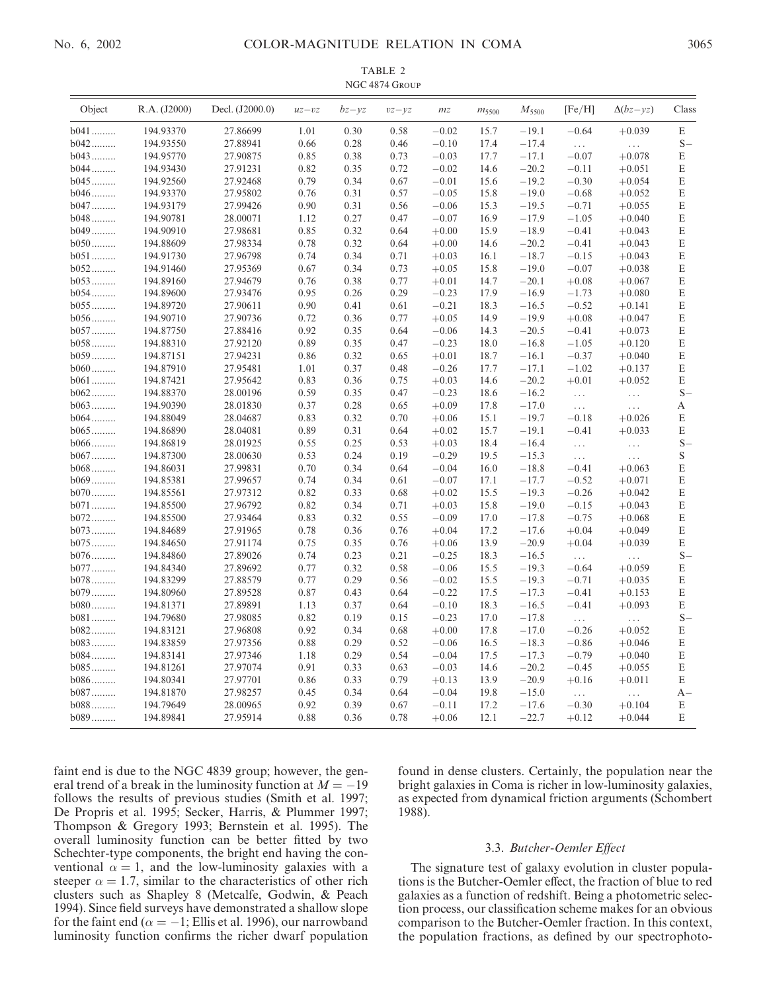TABLE 2 NGC 4874 Group

| Object | R.A. (J2000) | Decl. (J2000.0) | $uz-vz$ | $bz - yz$ | $vz - yz$ | mz      | $m_{5500}$ | $M_{5500}$ | [Fe/H]   | $\Delta(bz-vz)$ | Class |
|--------|--------------|-----------------|---------|-----------|-----------|---------|------------|------------|----------|-----------------|-------|
| $b041$ | 194.93370    | 27.86699        | 1.01    | 0.30      | 0.58      | $-0.02$ | 15.7       | $-19.1$    | $-0.64$  | $+0.039$        | E     |
| $b042$ | 194.93550    | 27.88941        | 0.66    | 0.28      | 0.46      | $-0.10$ | 17.4       | $-17.4$    | .        | .               | $S -$ |
| $b043$ | 194.95770    | 27.90875        | 0.85    | 0.38      | 0.73      | $-0.03$ | 17.7       | $-17.1$    | $-0.07$  | $+0.078$        | E     |
| $b044$ | 194.93430    | 27.91231        | 0.82    | 0.35      | 0.72      | $-0.02$ | 14.6       | $-20.2$    | $-0.11$  | $+0.051$        | E     |
| $b045$ | 194.92560    | 27.92468        | 0.79    | 0.34      | 0.67      | $-0.01$ | 15.6       | $-19.2$    | $-0.30$  | $+0.054$        | E     |
| $b046$ | 194.93370    | 27.95802        | 0.76    | 0.31      | 0.57      | $-0.05$ | 15.8       | $-19.0$    | $-0.68$  | $+0.052$        | E     |
| $b047$ | 194.93179    | 27.99426        | 0.90    | 0.31      | 0.56      | $-0.06$ | 15.3       | $-19.5$    | $-0.71$  | $+0.055$        | E     |
| $b048$ | 194.90781    | 28.00071        | 1.12    | 0.27      | 0.47      | $-0.07$ | 16.9       | $-17.9$    | $-1.05$  | $+0.040$        | E     |
| $b049$ | 194.90910    | 27.98681        | 0.85    | 0.32      | 0.64      | $+0.00$ | 15.9       | $-18.9$    | $-0.41$  | $+0.043$        | E     |
| $b050$ | 194.88609    | 27.98334        | 0.78    | 0.32      | 0.64      | $+0.00$ | 14.6       | $-20.2$    | $-0.41$  | $+0.043$        | E     |
| $b051$ | 194.91730    | 27.96798        | 0.74    | 0.34      | 0.71      | $+0.03$ | 16.1       | $-18.7$    | $-0.15$  | $+0.043$        | E     |
| $b052$ | 194.91460    | 27.95369        | 0.67    | 0.34      | 0.73      | $+0.05$ | 15.8       | $-19.0$    | $-0.07$  | $+0.038$        | E     |
| $b053$ | 194.89160    | 27.94679        | 0.76    | 0.38      | 0.77      | $+0.01$ | 14.7       | $-20.1$    | $+0.08$  | $+0.067$        | E     |
| $b054$ | 194.89600    | 27.93476        | 0.95    | 0.26      | 0.29      | $-0.23$ | 17.9       | $-16.9$    | $-1.73$  | $+0.080$        | E     |
| $b055$ | 194.89720    | 27.90611        | 0.90    | 0.41      | 0.61      | $-0.21$ | 18.3       | $-16.5$    | $-0.52$  | $+0.141$        | E     |
| $b056$ | 194.90710    | 27.90736        | 0.72    | 0.36      | 0.77      | $+0.05$ | 14.9       | $-19.9$    | $+0.08$  | $+0.047$        | E     |
| $b057$ | 194.87750    | 27.88416        | 0.92    | 0.35      | 0.64      | $-0.06$ | 14.3       | $-20.5$    | $-0.41$  | $+0.073$        | E     |
| $b058$ | 194.88310    | 27.92120        | 0.89    | 0.35      | 0.47      | $-0.23$ | 18.0       | $-16.8$    | $-1.05$  | $+0.120$        | E     |
| $b059$ | 194.87151    | 27.94231        | 0.86    | 0.32      | 0.65      | $+0.01$ | 18.7       | $-16.1$    | $-0.37$  | $+0.040$        | E     |
| $b060$ | 194.87910    | 27.95481        | 1.01    | 0.37      | 0.48      | $-0.26$ | 17.7       | $-17.1$    | $-1.02$  | $+0.137$        | E     |
| $b061$ | 194.87421    | 27.95642        | 0.83    | 0.36      | 0.75      | $+0.03$ | 14.6       | $-20.2$    | $+0.01$  | $+0.052$        | E     |
| $b062$ | 194.88370    | 28.00196        | 0.59    | 0.35      | 0.47      | $-0.23$ | 18.6       | $-16.2$    | $\cdots$ | $\ldots$        | $S -$ |
| $b063$ | 194.90390    | 28.01830        | 0.37    | 0.28      | 0.65      | $+0.09$ | 17.8       | $-17.0$    | $\ldots$ | $\ldots$        | A     |
| $b064$ | 194.88049    | 28.04687        | 0.83    | 0.32      | 0.70      | $+0.06$ | 15.1       | $-19.7$    | $-0.18$  | $+0.026$        | E     |
| $b065$ | 194.86890    | 28.04081        | 0.89    | 0.31      | 0.64      | $+0.02$ | 15.7       | $-19.1$    | $-0.41$  | $+0.033$        | E     |
| $b066$ | 194.86819    | 28.01925        | 0.55    | 0.25      | 0.53      | $+0.03$ | 18.4       | $-16.4$    | $\cdots$ | $\ldots$        | $S -$ |
| $b067$ | 194.87300    | 28.00630        | 0.53    | 0.24      | 0.19      | $-0.29$ | 19.5       | $-15.3$    | $\ldots$ | $\ldots$        | S     |
| $b068$ | 194.86031    | 27.99831        | 0.70    | 0.34      | 0.64      | $-0.04$ | 16.0       | $-18.8$    | $-0.41$  | $+0.063$        | E     |
| $b069$ | 194.85381    | 27.99657        | 0.74    | 0.34      | 0.61      | $-0.07$ | 17.1       | $-17.7$    | $-0.52$  | $+0.071$        | E     |
| $b070$ | 194.85561    | 27.97312        | 0.82    | 0.33      | 0.68      | $+0.02$ | 15.5       | $-19.3$    | $-0.26$  | $+0.042$        | E     |
| $b071$ | 194.85500    | 27.96792        | 0.82    | 0.34      | 0.71      | $+0.03$ | 15.8       | $-19.0$    | $-0.15$  | $+0.043$        | E     |
| $b072$ | 194.85500    | 27.93464        | 0.83    | 0.32      | 0.55      | $-0.09$ | 17.0       | $-17.8$    | $-0.75$  | $+0.068$        | E     |
| $b073$ | 194.84689    | 27.91965        | 0.78    | 0.36      | 0.76      | $+0.04$ | 17.2       | $-17.6$    | $+0.04$  | $+0.049$        | E     |
| $b075$ | 194.84650    | 27.91174        | 0.75    | 0.35      | 0.76      | $+0.06$ | 13.9       | $-20.9$    | $+0.04$  | $+0.039$        | E     |
| $b076$ | 194.84860    | 27.89026        | 0.74    | 0.23      | 0.21      | $-0.25$ | 18.3       | $-16.5$    | $\ldots$ | .               | $S -$ |
| $b077$ | 194.84340    | 27.89692        | 0.77    | 0.32      | 0.58      | $-0.06$ | 15.5       | $-19.3$    | $-0.64$  | $+0.059$        | E     |
| $b078$ | 194.83299    | 27.88579        | 0.77    | 0.29      | 0.56      | $-0.02$ | 15.5       | $-19.3$    | $-0.71$  | $+0.035$        | E     |
| $b079$ | 194.80960    | 27.89528        | 0.87    | 0.43      | 0.64      | $-0.22$ | 17.5       | $-17.3$    | $-0.41$  | $+0.153$        | E     |
| $b080$ | 194.81371    | 27.89891        | 1.13    | 0.37      | 0.64      | $-0.10$ | 18.3       | $-16.5$    | $-0.41$  | $+0.093$        | E     |
| $b081$ | 194.79680    | 27.98085        | 0.82    | 0.19      | 0.15      | $-0.23$ | 17.0       | $-17.8$    | $\ldots$ | $\sim 100$      | $S -$ |
| $b082$ | 194.83121    | 27.96808        | 0.92    | 0.34      | 0.68      | $+0.00$ | 17.8       | $-17.0$    | $-0.26$  | $+0.052$        | E     |
| $b083$ | 194.83859    | 27.97356        | 0.88    | 0.29      | 0.52      | $-0.06$ | 16.5       | $-18.3$    | $-0.86$  | $+0.046$        | E     |
| $b084$ | 194.83141    | 27.97346        | 1.18    | 0.29      | 0.54      | $-0.04$ | 17.5       | $-17.3$    | $-0.79$  | $+0.040$        | E     |
| $b085$ | 194.81261    | 27.97074        | 0.91    | 0.33      | 0.63      | $-0.03$ | 14.6       | $-20.2$    | $-0.45$  | $+0.055$        | E     |
| $b086$ | 194.80341    | 27.97701        | 0.86    | 0.33      | 0.79      | $+0.13$ | 13.9       | $-20.9$    | $+0.16$  | $+0.011$        | E     |
| $b087$ | 194.81870    | 27.98257        | 0.45    | 0.34      | 0.64      | $-0.04$ | 19.8       | $-15.0$    | $\ldots$ | $\cdots$        | $A -$ |
| $b088$ | 194.79649    | 28.00965        | 0.92    | 0.39      | 0.67      | $-0.11$ | 17.2       | $-17.6$    | $-0.30$  | $+0.104$        | E     |
| $b089$ | 194.89841    | 27.95914        | 0.88    | 0.36      | 0.78      | $+0.06$ | 12.1       | $-22.7$    | $+0.12$  | $+0.044$        | E     |

faint end is due to the NGC 4839 group; however, the general trend of a break in the luminosity function at  $M = -19$ follows the results of previous studies (Smith et al. 1997; De Propris et al. 1995; Secker, Harris, & Plummer 1997; Thompson & Gregory 1993; Bernstein et al. 1995). The overall luminosity function can be better fitted by two Schechter-type components, the bright end having the conventional  $\alpha = 1$ , and the low-luminosity galaxies with a steeper  $\alpha = 1.7$ , similar to the characteristics of other rich clusters such as Shapley 8 (Metcalfe, Godwin, & Peach 1994). Since field surveys have demonstrated a shallow slope for the faint end ( $\alpha=-1;$  Ellis et al. 1996), our narrowband luminosity function confirms the richer dwarf population

found in dense clusters. Certainly, the population near the bright galaxies in Coma is richer in low-luminosity galaxies, as expected from dynamical friction arguments (Schombert 1988).

## 3.3. Butcher-Oemler Effect

The signature test of galaxy evolution in cluster populations is the Butcher-Oemler effect, the fraction of blue to red galaxies as a function of redshift. Being a photometric selection process, our classification scheme makes for an obvious comparison to the Butcher-Oemler fraction. In this context, the population fractions, as defined by our spectrophoto-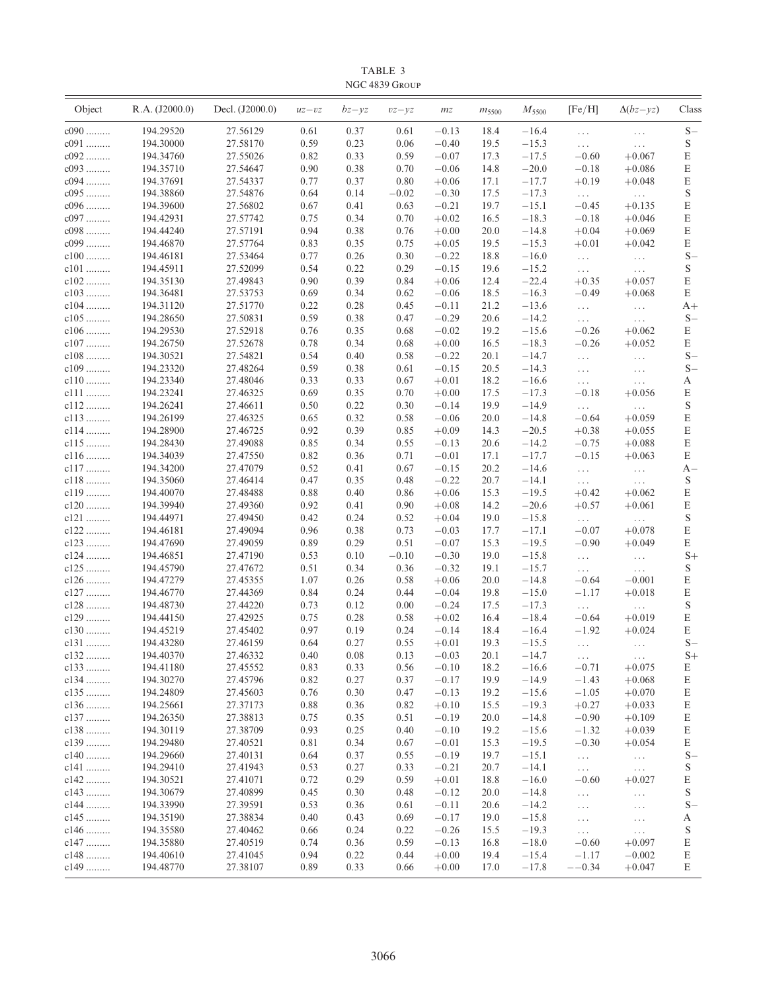TABLE 3 NGC 4839 Group

| Object                   | R.A. (J2000.0)         | Decl. $(J2000.0)$    | $uz-vz$      | $bz - yz$    | $vz - yz$    | mz                 | $m_{5500}$   | $M_{5500}$         | [Fe/H]              | $\Delta(bz-yz)$      | Class     |
|--------------------------|------------------------|----------------------|--------------|--------------|--------------|--------------------|--------------|--------------------|---------------------|----------------------|-----------|
| $c090$                   | 194.29520              | 27.56129             | 0.61         | 0.37         | 0.61         | $-0.13$            | 18.4         | $-16.4$            | $\ldots$            | $\ldots$             | $S -$     |
| c091                     | 194.30000              | 27.58170             | 0.59         | 0.23         | 0.06         | $-0.40$            | 19.5         | $-15.3$            | $\ldots$            | $\ldots$             | S         |
| $c092$                   | 194.34760              | 27.55026             | 0.82         | 0.33         | 0.59         | $-0.07$            | 17.3         | $-17.5$            | $-0.60$             | $+0.067$             | E         |
| $c093$                   | 194.35710              | 27.54647             | 0.90         | 0.38         | 0.70         | $-0.06$            | 14.8         | $-20.0$            | $-0.18$             | $+0.086$             | E         |
| c094                     | 194.37691              | 27.54337             | 0.77         | 0.37         | 0.80         | $+0.06$            | 17.1         | $-17.7$            | $+0.19$             | $+0.048$             | E         |
| $c095$                   | 194.38860              | 27.54876             | 0.64         | 0.14         | $-0.02$      | $-0.30$            | 17.5         | $-17.3$            | $\ldots$            | $\ldots$             | S         |
| c096                     | 194.39600              | 27.56802             | 0.67         | 0.41         | 0.63         | $-0.21$            | 19.7         | $-15.1$            | $-0.45$             | $+0.135$             | E         |
| c097                     | 194.42931              | 27.57742             | 0.75         | 0.34         | 0.70         | $+0.02$            | 16.5         | $-18.3$            | $-0.18$             | $+0.046$             | E         |
| $c098$                   | 194.44240              | 27.57191             | 0.94         | 0.38         | 0.76         | $+0.00$            | 20.0         | $-14.8$            | $+0.04$             | $+0.069$             | E         |
| $c099$                   | 194.46870              | 27.57764             | 0.83         | 0.35         | 0.75         | $+0.05$            | 19.5         | $-15.3$            | $+0.01$             | $+0.042$             | E         |
| c100                     | 194.46181              | 27.53464             | 0.77         | 0.26         | 0.30         | $-0.22$            | 18.8         | $-16.0$            | $\ldots$            | $\ldots$             | $S -$     |
| $c101$                   | 194.45911              | 27.52099             | 0.54         | 0.22         | 0.29         | $-0.15$            | 19.6         | $-15.2$            | $\ldots$            | $\ldots$             | S         |
| $c102$                   | 194.35130              | 27.49843             | 0.90         | 0.39         | 0.84         | $+0.06$            | 12.4         | $-22.4$            | $+0.35$             | $+0.057$             | E         |
| $c103$                   | 194.36481              | 27.53753             | 0.69         | 0.34         | 0.62         | $-0.06$            | 18.5         | $-16.3$            | $-0.49$             | $+0.068$             | E         |
| $c104$                   | 194.31120              | 27.51770             | 0.22         | 0.28         | 0.45         | $-0.11$            | 21.2         | $-13.6$            | $\ldots$            | $\ldots$             | $A+$      |
| c105                     | 194.28650              | 27.50831             | 0.59         | 0.38         | 0.47         | $-0.29$            | 20.6         | $-14.2$            | $\cdots$            | $\ldots$             | $S-$      |
| $c106$                   | 194.29530              | 27.52918             | 0.76         | 0.35         | 0.68         | $-0.02$            | 19.2         | $-15.6$            | $-0.26$             | $+0.062$             | E         |
| $c107$                   | 194.26750              | 27.52678             | 0.78         | 0.34         | 0.68         | $+0.00$            | 16.5         | $-18.3$            | $-0.26$             | $+0.052$             | E         |
| $c108$                   | 194.30521              | 27.54821             | 0.54         | 0.40         | 0.58         | $-0.22$            | 20.1         | $-14.7$            | $\ldots$            | $\ldots$             | $S -$     |
| c109                     | 194.23320              | 27.48264             | 0.59         | 0.38         | 0.61         | $-0.15$            | 20.5         | $-14.3$            | $\cdots$            | $\ldots$             | $S -$     |
| $c110$                   | 194.23340              | 27.48046             | 0.33         | 0.33         | 0.67         | $+0.01$            | 18.2         | $-16.6$            | $\cdots$            | $\ldots$             | A         |
| $c111$<br>c112           | 194.23241              | 27.46325             | 0.69         | 0.35         | 0.70<br>0.30 | $+0.00$            | 17.5         | $-17.3$            | $-0.18$             | $+0.056$             | E<br>S    |
| $c113$                   | 194.26241<br>194.26199 | 27.46611<br>27.46325 | 0.50<br>0.65 | 0.22<br>0.32 | 0.58         | $-0.14$<br>$-0.06$ | 19.9<br>20.0 | $-14.9$<br>$-14.8$ | $\ldots$<br>$-0.64$ | $\ldots$<br>$+0.059$ | E         |
| c114                     | 194.28900              | 27.46725             | 0.92         | 0.39         | 0.85         | $+0.09$            | 14.3         | $-20.5$            | $+0.38$             | $+0.055$             | E         |
| $c115$                   | 194.28430              | 27.49088             | 0.85         | 0.34         | 0.55         | $-0.13$            | 20.6         | $-14.2$            | $-0.75$             | $+0.088$             | E         |
| $c116$                   | 194.34039              | 27.47550             | 0.82         | 0.36         | 0.71         | $-0.01$            | 17.1         | $-17.7$            | $-0.15$             | $+0.063$             | E         |
| c117                     | 194.34200              | 27.47079             | 0.52         | 0.41         | 0.67         | $-0.15$            | 20.2         | $-14.6$            | $\ldots$            | $\ldots$             | $A -$     |
| $c118$                   | 194.35060              | 27.46414             | 0.47         | 0.35         | 0.48         | $-0.22$            | 20.7         | $-14.1$            | $\ldots$            |                      | S         |
| c119                     | 194.40070              | 27.48488             | 0.88         | 0.40         | 0.86         | $+0.06$            | 15.3         | $-19.5$            | $+0.42$             | $\ldots$<br>$+0.062$ | E         |
| $c120$                   | 194.39940              | 27.49360             | 0.92         | 0.41         | 0.90         | $+0.08$            | 14.2         | $-20.6$            | $+0.57$             | $+0.061$             | E         |
| $c121$                   | 194.44971              | 27.49450             | 0.42         | 0.24         | 0.52         | $+0.04$            | 19.0         | $-15.8$            | $\ldots$            | $\ldots$             | S         |
| c122                     | 194.46181              | 27.49094             | 0.96         | 0.38         | 0.73         | $-0.03$            | 17.7         | $-17.1$            | $-0.07$             | $+0.078$             | E         |
| $c123$                   | 194.47690              | 27.49059             | 0.89         | 0.29         | 0.51         | $-0.07$            | 15.3         | $-19.5$            | $-0.90$             | $+0.049$             | E         |
| $c124$                   | 194.46851              | 27.47190             | 0.53         | 0.10         | $-0.10$      | $-0.30$            | 19.0         | $-15.8$            | $\ldots$            | $\ldots$             | $S+$      |
| c125                     | 194.45790              | 27.47672             | 0.51         | 0.34         | 0.36         | $-0.32$            | 19.1         | $-15.7$            | $\cdots$            | $\ldots$             | S         |
| c126                     | 194.47279              | 27.45355             | 1.07         | 0.26         | 0.58         | $+0.06$            | 20.0         | $-14.8$            | $-0.64$             | $-0.001$             | E         |
| $c127$                   | 194.46770              | 27.44369             | 0.84         | 0.24         | 0.44         | $-0.04$            | 19.8         | $-15.0$            | $-1.17$             | $+0.018$             | E         |
| c128                     | 194.48730              | 27.44220             | 0.73         | 0.12         | 0.00         | $-0.24$            | 17.5         | $-17.3$            | $\ldots$            | $\ldots$ .           | S         |
| $c129$                   | 194.44150              | 27.42925             | 0.75         | 0.28         | 0.58         | $+0.02$            | 16.4         | $-18.4$            | $-0.64$             | $+0.019$             | E         |
| $c130$                   | 194.45219              | 27.45402             | 0.97         | 0.19         | 0.24         | $-0.14$            | 18.4         | $-16.4$            | $-1.92$             | $+0.024$             | E         |
| c131                     | 194.43280              | 27.46159             | 0.64         | 0.27         | 0.55         | $+0.01$            | 19.3         | $-15.5$            | $\cdots$            | $\ldots$             | $S -$     |
| c132                     | 194.40370              | 27.46332             | 0.40         | 0.08         | 0.13         | $-0.03$            | 20.1         | $-14.7$            |                     |                      | $S+$      |
| c133                     | 194.41180              | 27.45552             | 0.83         | 0.33         | 0.56         | $-0.10$            | 18.2         | $-16.6$            | $-0.71$             | $+0.075$             | E         |
| $c134$                   | 194.30270              | 27.45796             | 0.82         | 0.27         | 0.37         | $-0.17$            | 19.9         | $-14.9$            | $-1.43$             | $+0.068$             | E         |
| $c135$                   | 194.24809              | 27.45603             | 0.76         | 0.30         | 0.47         | $-0.13$            | 19.2         | $-15.6$            | $-1.05$             | $+0.070$             | E         |
| $c136$                   | 194.25661              | 27.37173             | 0.88         | 0.36         | 0.82         | $+0.10$            | 15.5         | $-19.3$            | $+0.27$             | $+0.033$             | E         |
| $c137$                   | 194.26350              | 27.38813             | 0.75         | 0.35         | 0.51         | $-0.19$            | 20.0         | $-14.8$            | $-0.90$             | $+0.109$             | E         |
| $c138\ldots\ldots\ldots$ | 194.30119              | 27.38709             | 0.93         | 0.25         | 0.40         | $-0.10$            | 19.2         | $-15.6$            | $-1.32$             | $+0.039$             | E         |
| $c139$                   | 194.29480              | 27.40521             | 0.81         | 0.34         | 0.67         | $-0.01$            | 15.3         | $-19.5$            | $-0.30$             | $+0.054$             | E         |
| $c140$                   | 194.29660              | 27.40131             | 0.64         | 0.37         | 0.55         | $-0.19$            | 19.7         | $-15.1$            | $\ldots$ .          | $\ldots$             | $S -$     |
| c141                     | 194.29410              | 27.41943             | 0.53         | 0.27         | 0.33         | $-0.21$            | 20.7         | $-14.1$            | $\ldots$            | $\ldots$             | S         |
| $c142$                   | 194.30521              | 27.41071             | 0.72         | 0.29         | 0.59         | $+0.01$            | 18.8         | $-16.0$            | $-0.60$             | $+0.027$             | E         |
| $c143$                   | 194.30679              | 27.40899             | 0.45         | 0.30         | 0.48         | $-0.12$            | 20.0         | $-14.8$            | $\ldots$            | $\ldots$             | ${\bf S}$ |
| $c144$                   | 194.33990              | 27.39591             | 0.53         | 0.36         | 0.61         | $-0.11$            | 20.6         | $-14.2$            | $\ldots$            | $\ldots$             | $S -$     |
| $c145$                   | 194.35190              | 27.38834             | 0.40         | 0.43         | 0.69         | $-0.17$            | 19.0         | $-15.8$            | $\cdots$            | $\ldots$             | A         |
| $c146$                   | 194.35580              | 27.40462             | 0.66         | 0.24         | 0.22         | $-0.26$            | 15.5         | $-19.3$            | $\ldots$            | $\ldots$             | S         |
| $c147$                   | 194.35880              | 27.40519             | 0.74         | 0.36         | 0.59         | $-0.13$            | 16.8         | $-18.0$            | $-0.60$             | $+0.097$             | E         |
| $c148$                   | 194.40610              | 27.41045             | 0.94         | 0.22         | 0.44         | $+0.00$            | 19.4         | $-15.4$            | $-1.17$             | $-0.002$             | E         |
| $c149$                   | 194.48770              | 27.38107             | 0.89         | 0.33         | 0.66         | $+0.00$            | 17.0         | $-17.8$            | $- -0.34$           | $+0.047$             | E         |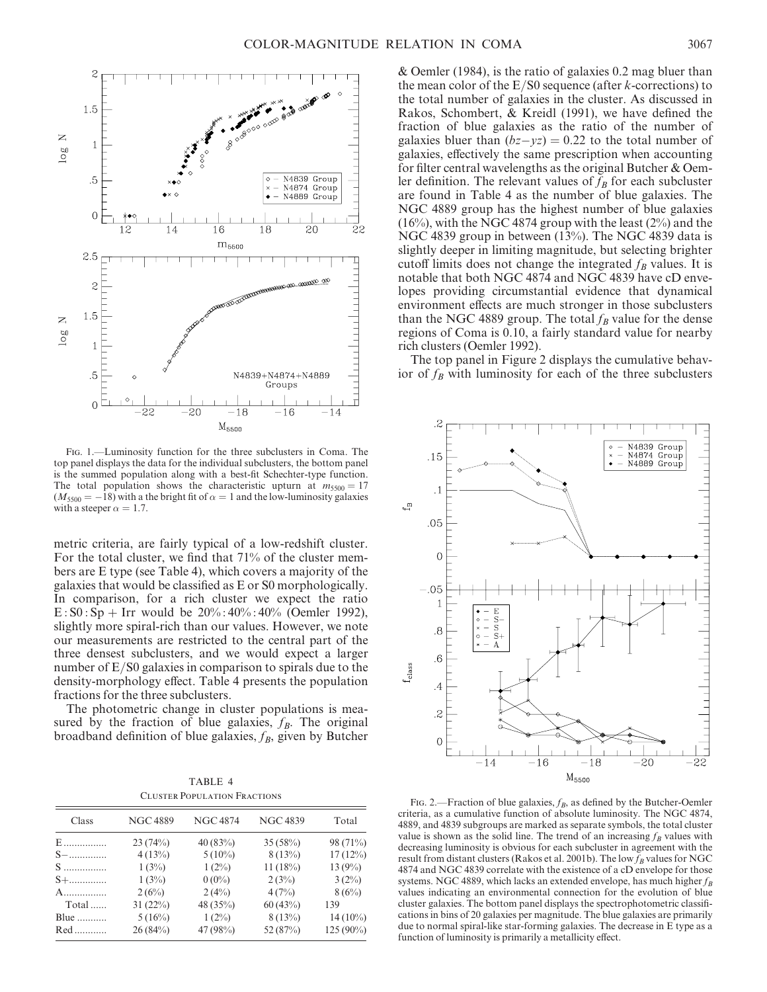

Fig. 1.—Luminosity function for the three subclusters in Coma. The top panel displays the data for the individual subclusters, the bottom panel is the summed population along with a best-fit Schechter-type function. The total population shows the characteristic upturn at  $m_{5500} = 17$  $(M_{5500} = -18)$  with a the bright fit of  $\alpha = 1$  and the low-luminosity galaxies with a steeper  $\alpha = 1.7$ .

metric criteria, are fairly typical of a low-redshift cluster. For the total cluster, we find that 71% of the cluster members are E type (see Table 4), which covers a majority of the galaxies that would be classified as E or S0 morphologically. In comparison, for a rich cluster we expect the ratio  $E: S0: Sp + Irr$  would be  $20\%: 40\%: 40\%$  (Oemler 1992), slightly more spiral-rich than our values. However, we note our measurements are restricted to the central part of the three densest subclusters, and we would expect a larger number of E/S0 galaxies in comparison to spirals due to the density-morphology effect. Table 4 presents the population fractions for the three subclusters.

The photometric change in cluster populations is measured by the fraction of blue galaxies,  $f_B$ . The original broadband definition of blue galaxies,  $f_B$ , given by Butcher

| TABLE 4                             |
|-------------------------------------|
| <b>CLUSTER POPULATION FRACTIONS</b> |

| Class | <b>NGC 4889</b> | <b>NGC 4874</b> | <b>NGC 4839</b> | Total       |
|-------|-----------------|-----------------|-----------------|-------------|
| E     | 23(74%)         | 40(83%)         | 35(58%)         | 98 (71%)    |
| $S-$  | $4(13\%)$       | $5(10\%)$       | 8(13%)          | 17(12%)     |
| S     | 1(3%)           | $1(2\%)$        | 11(18%)         | 13(9%)      |
| $S+$  | 1(3%)           | $0(0\%)$        | 2(3%)           | $3(2\%)$    |
| A     | 2(6%)           | 2(4%)           | 4(7%)           | 8(6%)       |
| Total | 31(22%)         | 48 (35%)        | 60(43%)         | 139         |
| Blue  | 5(16%)          | $1(2\%)$        | $8(13\%)$       | $14(10\%)$  |
| Red   | 26(84%)         | 47 (98%)        | 52 (87%)        | $125(90\%)$ |

& Oemler (1984), is the ratio of galaxies 0.2 mag bluer than the mean color of the  $E/S0$  sequence (after k-corrections) to the total number of galaxies in the cluster. As discussed in Rakos, Schombert, & Kreidl (1991), we have defined the fraction of blue galaxies as the ratio of the number of galaxies bluer than  $(bz-yz) = 0.22$  to the total number of galaxies, effectively the same prescription when accounting for filter central wavelengths as the original Butcher & Oemler definition. The relevant values of  $f_B$  for each subcluster are found in Table 4 as the number of blue galaxies. The NGC 4889 group has the highest number of blue galaxies  $(16%)$ , with the NGC 4874 group with the least  $(2%)$  and the NGC 4839 group in between (13%). The NGC 4839 data is slightly deeper in limiting magnitude, but selecting brighter cutoff limits does not change the integrated  $f_B$  values. It is notable that both NGC 4874 and NGC 4839 have cD envelopes providing circumstantial evidence that dynamical environment effects are much stronger in those subclusters than the NGC 4889 group. The total  $f_B$  value for the dense regions of Coma is 0.10, a fairly standard value for nearby rich clusters (Oemler 1992).

The top panel in Figure 2 displays the cumulative behavior of  $f_B$  with luminosity for each of the three subclusters



Fig. 2.—Fraction of blue galaxies,  $f_B$ , as defined by the Butcher-Oemler criteria, as a cumulative function of absolute luminosity. The NGC 4874, 4889, and 4839 subgroups are marked as separate symbols, the total cluster value is shown as the solid line. The trend of an increasing  $f_B$  values with decreasing luminosity is obvious for each subcluster in agreement with the result from distant clusters (Rakos et al. 2001b). The low  $f_B$  values for NGC 4874 and NGC 4839 correlate with the existence of a cD envelope for those systems. NGC 4889, which lacks an extended envelope, has much higher  $f_B$ values indicating an environmental connection for the evolution of blue cluster galaxies. The bottom panel displays the spectrophotometric classifications in bins of 20 galaxies per magnitude. The blue galaxies are primarily due to normal spiral-like star-forming galaxies. The decrease in E type as a function of luminosity is primarily a metallicity effect.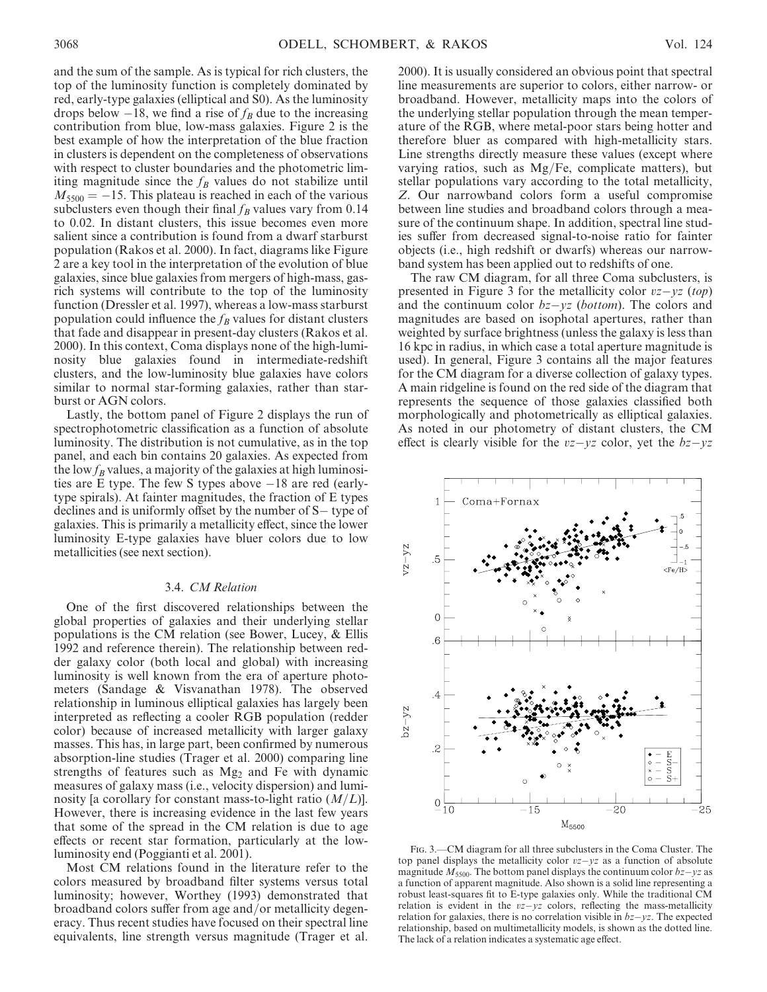and the sum of the sample. As is typical for rich clusters, the top of the luminosity function is completely dominated by red, early-type galaxies (elliptical and S0). As the luminosity drops below  $-18$ , we find a rise of  $f_B$  due to the increasing contribution from blue, low-mass galaxies. Figure 2 is the best example of how the interpretation of the blue fraction in clusters is dependent on the completeness of observations with respect to cluster boundaries and the photometric limiting magnitude since the  $f_B$  values do not stabilize until  $M_{5500} = -15$ . This plateau is reached in each of the various subclusters even though their final  $f_B$  values vary from 0.14 to 0.02. In distant clusters, this issue becomes even more salient since a contribution is found from a dwarf starburst population (Rakos et al. 2000). In fact, diagrams like Figure 2 are a key tool in the interpretation of the evolution of blue galaxies, since blue galaxies from mergers of high-mass, gasrich systems will contribute to the top of the luminosity function (Dressler et al. 1997), whereas a low-mass starburst population could influence the  $f_B$  values for distant clusters that fade and disappear in present-day clusters (Rakos et al. 2000). In this context, Coma displays none of the high-luminosity blue galaxies found in intermediate-redshift clusters, and the low-luminosity blue galaxies have colors similar to normal star-forming galaxies, rather than starburst or AGN colors.

Lastly, the bottom panel of Figure 2 displays the run of spectrophotometric classification as a function of absolute luminosity. The distribution is not cumulative, as in the top panel, and each bin contains 20 galaxies. As expected from the low  $f_B$  values, a majority of the galaxies at high luminosities are E type. The few S types above  $-18$  are red (earlytype spirals). At fainter magnitudes, the fraction of E types declines and is uniformly offset by the number of  $S$  - type of galaxies. This is primarily a metallicity effect, since the lower luminosity E-type galaxies have bluer colors due to low metallicities (see next section).

### 3.4. CM Relation

One of the first discovered relationships between the global properties of galaxies and their underlying stellar populations is the CM relation (see Bower, Lucey, & Ellis 1992 and reference therein). The relationship between redder galaxy color (both local and global) with increasing luminosity is well known from the era of aperture photometers (Sandage & Visvanathan 1978). The observed relationship in luminous elliptical galaxies has largely been interpreted as reflecting a cooler RGB population (redder color) because of increased metallicity with larger galaxy masses. This has, in large part, been confirmed by numerous absorption-line studies (Trager et al. 2000) comparing line strengths of features such as  $Mg_2$  and Fe with dynamic measures of galaxy mass (i.e., velocity dispersion) and luminosity [a corollary for constant mass-to-light ratio  $(M/L)$ ]. However, there is increasing evidence in the last few years that some of the spread in the CM relation is due to age effects or recent star formation, particularly at the lowluminosity end (Poggianti et al. 2001).

Most CM relations found in the literature refer to the colors measured by broadband filter systems versus total luminosity; however, Worthey (1993) demonstrated that broadband colors suffer from age and/or metallicity degeneracy. Thus recent studies have focused on their spectral line equivalents, line strength versus magnitude (Trager et al.

2000). It is usually considered an obvious point that spectral line measurements are superior to colors, either narrow- or broadband. However, metallicity maps into the colors of the underlying stellar population through the mean temperature of the RGB, where metal-poor stars being hotter and therefore bluer as compared with high-metallicity stars. Line strengths directly measure these values (except where varying ratios, such as Mg/Fe, complicate matters), but stellar populations vary according to the total metallicity, Z. Our narrowband colors form a useful compromise between line studies and broadband colors through a measure of the continuum shape. In addition, spectral line studies suffer from decreased signal-to-noise ratio for fainter objects (i.e., high redshift or dwarfs) whereas our narrowband system has been applied out to redshifts of one.

The raw CM diagram, for all three Coma subclusters, is presented in Figure 3 for the metallicity color  $vz - yz$  (top) and the continuum color  $bz-yz$  (bottom). The colors and magnitudes are based on isophotal apertures, rather than weighted by surface brightness (unless the galaxy is less than 16 kpc in radius, in which case a total aperture magnitude is used). In general, Figure 3 contains all the major features for the CM diagram for a diverse collection of galaxy types. A main ridgeline is found on the red side of the diagram that represents the sequence of those galaxies classified both morphologically and photometrically as elliptical galaxies. As noted in our photometry of distant clusters, the CM effect is clearly visible for the  $vz-yz$  color, yet the  $bz-yz$ 



FIG. 3.—CM diagram for all three subclusters in the Coma Cluster. The top panel displays the metallicity color  $vz-yz$  as a function of absolute magnitude  $M_{5500}$ . The bottom panel displays the continuum color  $bz - yz$  as a function of apparent magnitude. Also shown is a solid line representing a robust least-squares fit to E-type galaxies only. While the traditional CM relation is evident in the  $vz-yz$  colors, reflecting the mass-metallicity relation for galaxies, there is no correlation visible in  $bz - yz$ . The expected relationship, based on multimetallicity models, is shown as the dotted line. The lack of a relation indicates a systematic age effect.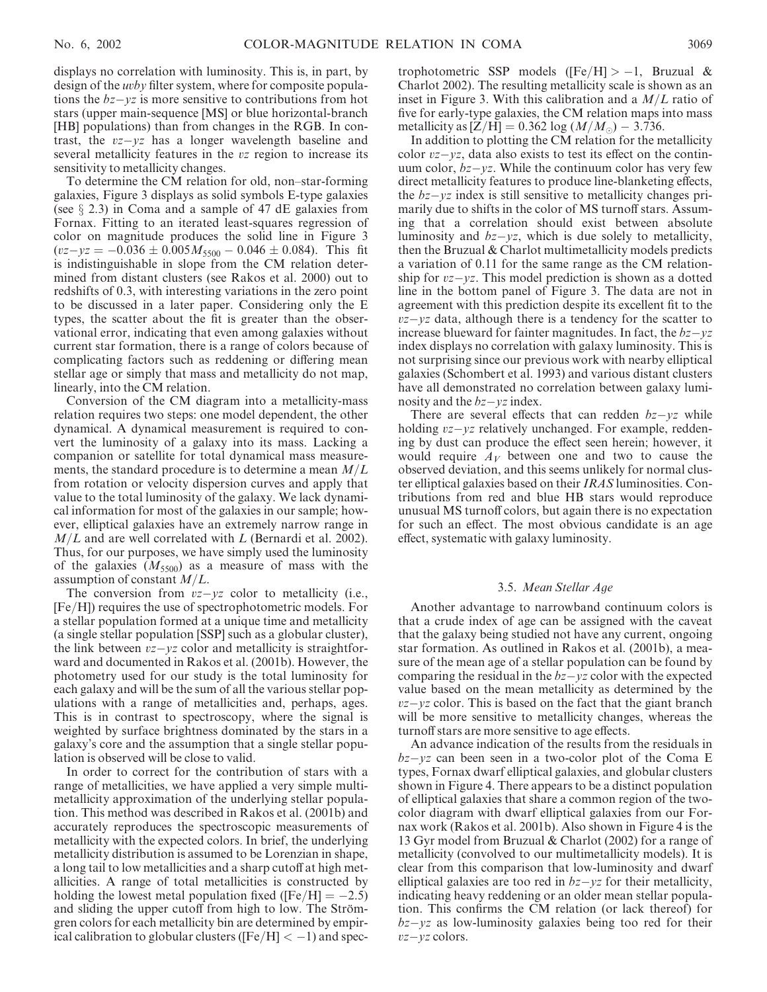displays no correlation with luminosity. This is, in part, by design of the *uvby* filter system, where for composite populations the  $bz - yz$  is more sensitive to contributions from hot stars (upper main-sequence [MS] or blue horizontal-branch [HB] populations) than from changes in the RGB. In contrast, the  $vz - yz$  has a longer wavelength baseline and several metallicity features in the vz region to increase its sensitivity to metallicity changes.

To determine the CM relation for old, non–star-forming galaxies, Figure 3 displays as solid symbols E-type galaxies (see  $\S$  2.3) in Coma and a sample of 47 dE galaxies from Fornax. Fitting to an iterated least-squares regression of color on magnitude produces the solid line in Figure 3  $(vz-yz = -0.036 \pm 0.005M_{5500} - 0.046 \pm 0.084)$ . This fit is indistinguishable in slope from the CM relation determined from distant clusters (see Rakos et al. 2000) out to redshifts of 0.3, with interesting variations in the zero point to be discussed in a later paper. Considering only the E types, the scatter about the fit is greater than the observational error, indicating that even among galaxies without current star formation, there is a range of colors because of complicating factors such as reddening or differing mean stellar age or simply that mass and metallicity do not map, linearly, into the CM relation.

Conversion of the CM diagram into a metallicity-mass relation requires two steps: one model dependent, the other dynamical. A dynamical measurement is required to convert the luminosity of a galaxy into its mass. Lacking a companion or satellite for total dynamical mass measurements, the standard procedure is to determine a mean  $M/L$ from rotation or velocity dispersion curves and apply that value to the total luminosity of the galaxy. We lack dynamical information for most of the galaxies in our sample; however, elliptical galaxies have an extremely narrow range in  $M/L$  and are well correlated with L (Bernardi et al. 2002). Thus, for our purposes, we have simply used the luminosity of the galaxies  $(M_{5500})$  as a measure of mass with the assumption of constant  $M/L$ .

The conversion from  $vz-yz$  color to metallicity (i.e., [Fe/H]) requires the use of spectrophotometric models. For a stellar population formed at a unique time and metallicity (a single stellar population [SSP] such as a globular cluster), the link between  $vz - yz$  color and metallicity is straightforward and documented in Rakos et al. (2001b). However, the photometry used for our study is the total luminosity for each galaxy and will be the sum of all the various stellar populations with a range of metallicities and, perhaps, ages. This is in contrast to spectroscopy, where the signal is weighted by surface brightness dominated by the stars in a galaxy's core and the assumption that a single stellar population is observed will be close to valid.

In order to correct for the contribution of stars with a range of metallicities, we have applied a very simple multimetallicity approximation of the underlying stellar population. This method was described in Rakos et al. (2001b) and accurately reproduces the spectroscopic measurements of metallicity with the expected colors. In brief, the underlying metallicity distribution is assumed to be Lorenzian in shape, a long tail to low metallicities and a sharp cutoff at high metallicities. A range of total metallicities is constructed by holding the lowest metal population fixed ( $[Fe/H] = -2.5$ ) and sliding the upper cutoff from high to low. The Strömgren colors for each metallicity bin are determined by empirical calibration to globular clusters ( $[Fe/H] < -1$ ) and spec-

trophotometric SSP models ( $[Fe/H] > -1$ , Bruzual & Charlot 2002). The resulting metallicity scale is shown as an inset in Figure 3. With this calibration and a  $M/L$  ratio of five for early-type galaxies, the CM relation maps into mass metallicity as  $[Z/H] = 0.362 \log(M/M_{\odot}) - 3.736$ .

In addition to plotting the CM relation for the metallicity color  $vz - yz$ , data also exists to test its effect on the continuum color,  $bz - yz$ . While the continuum color has very few direct metallicity features to produce line-blanketing effects, the  $bz - yz$  index is still sensitive to metallicity changes primarily due to shifts in the color of MS turnoff stars. Assuming that a correlation should exist between absolute luminosity and  $bz-yz$ , which is due solely to metallicity, then the Bruzual & Charlot multimetallicity models predicts a variation of 0.11 for the same range as the CM relationship for  $vz - yz$ . This model prediction is shown as a dotted line in the bottom panel of Figure 3. The data are not in agreement with this prediction despite its excellent fit to the  $vz - yz$  data, although there is a tendency for the scatter to increase blueward for fainter magnitudes. In fact, the  $bz - yz$ index displays no correlation with galaxy luminosity. This is not surprising since our previous work with nearby elliptical galaxies (Schombert et al. 1993) and various distant clusters have all demonstrated no correlation between galaxy luminosity and the  $bz - yz$  index.

There are several effects that can redden  $bz - yz$  while holding  $vz - yz$  relatively unchanged. For example, reddening by dust can produce the effect seen herein; however, it would require  $A_V$  between one and two to cause the observed deviation, and this seems unlikely for normal cluster elliptical galaxies based on their IRAS luminosities. Contributions from red and blue HB stars would reproduce unusual MS turnoff colors, but again there is no expectation for such an effect. The most obvious candidate is an age effect, systematic with galaxy luminosity.

#### 3.5. Mean Stellar Age

Another advantage to narrowband continuum colors is that a crude index of age can be assigned with the caveat that the galaxy being studied not have any current, ongoing star formation. As outlined in Rakos et al. (2001b), a measure of the mean age of a stellar population can be found by comparing the residual in the  $bz - yz$  color with the expected value based on the mean metallicity as determined by the  $vz-yz$  color. This is based on the fact that the giant branch will be more sensitive to metallicity changes, whereas the turnoff stars are more sensitive to age effects.

An advance indication of the results from the residuals in  $bz - yz$  can been seen in a two-color plot of the Coma E types, Fornax dwarf elliptical galaxies, and globular clusters shown in Figure 4. There appears to be a distinct population of elliptical galaxies that share a common region of the twocolor diagram with dwarf elliptical galaxies from our Fornax work (Rakos et al. 2001b). Also shown in Figure 4 is the 13 Gyr model from Bruzual & Charlot (2002) for a range of metallicity (convolved to our multimetallicity models). It is clear from this comparison that low-luminosity and dwarf elliptical galaxies are too red in  $bz-yz$  for their metallicity, indicating heavy reddening or an older mean stellar population. This confirms the CM relation (or lack thereof) for  $bz - yz$  as low-luminosity galaxies being too red for their  $vz - yz$  colors.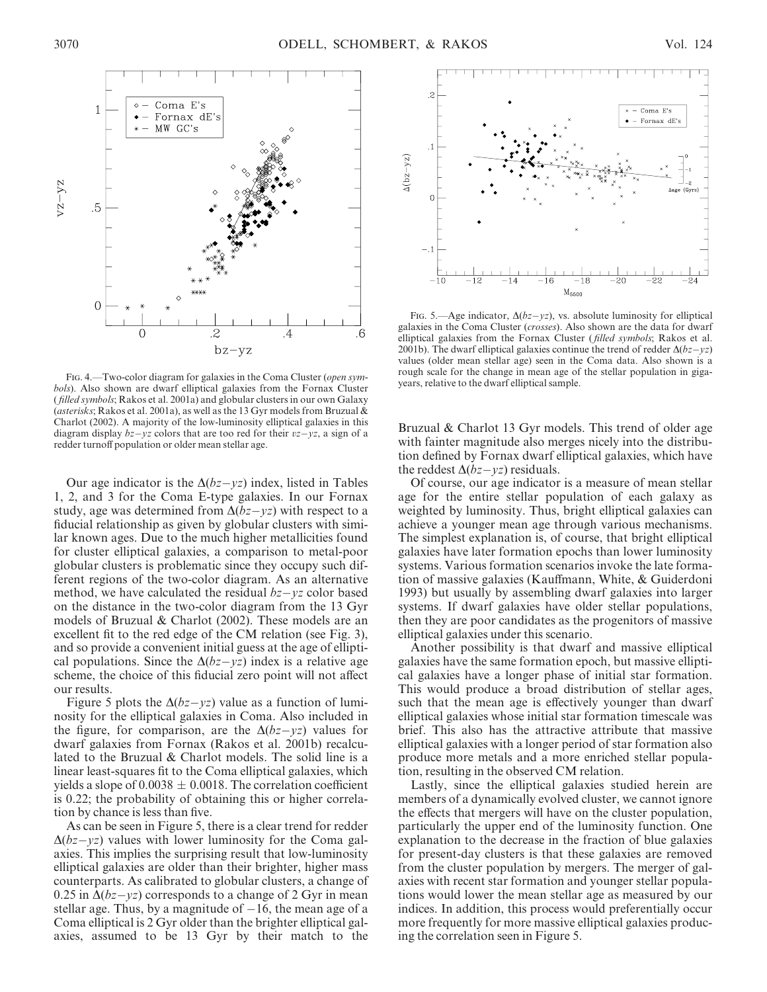

FIG. 4.—Two-color diagram for galaxies in the Coma Cluster (*open sym*bols). Also shown are dwarf elliptical galaxies from the Fornax Cluster ( filled symbols; Rakos et al. 2001a) and globular clusters in our own Galaxy (asterisks; Rakos et al. 2001a), as well as the 13 Gyr models from Bruzual  $\&$ Charlot (2002). A majority of the low-luminosity elliptical galaxies in this diagram display  $bz-yz$  colors that are too red for their  $vz-yz$ , a sign of a redder turnoff population or older mean stellar age.

Our age indicator is the  $\Delta(bz-yz)$  index, listed in Tables 1, 2, and 3 for the Coma E-type galaxies. In our Fornax study, age was determined from  $\Delta(bz-yz)$  with respect to a fiducial relationship as given by globular clusters with similar known ages. Due to the much higher metallicities found for cluster elliptical galaxies, a comparison to metal-poor globular clusters is problematic since they occupy such different regions of the two-color diagram. As an alternative method, we have calculated the residual  $bz - yz$  color based on the distance in the two-color diagram from the 13 Gyr models of Bruzual & Charlot  $(2002)$ . These models are an excellent fit to the red edge of the CM relation (see Fig. 3), and so provide a convenient initial guess at the age of elliptical populations. Since the  $\Delta(bz-yz)$  index is a relative age scheme, the choice of this fiducial zero point will not affect our results.

Figure 5 plots the  $\Delta(bz-yz)$  value as a function of luminosity for the elliptical galaxies in Coma. Also included in the figure, for comparison, are the  $\Delta(bz-yz)$  values for dwarf galaxies from Fornax (Rakos et al. 2001b) recalculated to the Bruzual & Charlot models. The solid line is a linear least-squares fit to the Coma elliptical galaxies, which yields a slope of  $0.0038 \pm 0.0018.$  The correlation coefficient is 0.22; the probability of obtaining this or higher correlation by chance is less than five.

As can be seen in Figure 5, there is a clear trend for redder  $\Delta(bz-yz)$  values with lower luminosity for the Coma galaxies. This implies the surprising result that low-luminosity elliptical galaxies are older than their brighter, higher mass counterparts. As calibrated to globular clusters, a change of 0.25 in  $\Delta(bz-yz)$  corresponds to a change of 2 Gyr in mean stellar age. Thus, by a magnitude of  $-16$ , the mean age of a Coma elliptical is 2 Gyr older than the brighter elliptical galaxies, assumed to be 13 Gyr by their match to the



Fig. 5.—Age indicator,  $\Delta(bz-yz)$ , vs. absolute luminosity for elliptical galaxies in the Coma Cluster (crosses). Also shown are the data for dwarf elliptical galaxies from the Fornax Cluster (filled symbols; Rakos et al. 2001b). The dwarf elliptical galaxies continue the trend of redder  $\Delta(bz-yz)$ values (older mean stellar age) seen in the Coma data. Also shown is a rough scale for the change in mean age of the stellar population in gigayears, relative to the dwarf elliptical sample.

Bruzual & Charlot 13 Gyr models. This trend of older age with fainter magnitude also merges nicely into the distribution defined by Fornax dwarf elliptical galaxies, which have the reddest  $\Delta(bz-yz)$  residuals.

Of course, our age indicator is a measure of mean stellar age for the entire stellar population of each galaxy as weighted by luminosity. Thus, bright elliptical galaxies can achieve a younger mean age through various mechanisms. The simplest explanation is, of course, that bright elliptical galaxies have later formation epochs than lower luminosity systems. Various formation scenarios invoke the late formation of massive galaxies (Kauffmann, White, & Guiderdoni 1993) but usually by assembling dwarf galaxies into larger systems. If dwarf galaxies have older stellar populations, then they are poor candidates as the progenitors of massive elliptical galaxies under this scenario.

Another possibility is that dwarf and massive elliptical galaxies have the same formation epoch, but massive elliptical galaxies have a longer phase of initial star formation. This would produce a broad distribution of stellar ages, such that the mean age is effectively younger than dwarf elliptical galaxies whose initial star formation timescale was brief. This also has the attractive attribute that massive elliptical galaxies with a longer period of star formation also produce more metals and a more enriched stellar population, resulting in the observed CM relation.

Lastly, since the elliptical galaxies studied herein are members of a dynamically evolved cluster, we cannot ignore the effects that mergers will have on the cluster population, particularly the upper end of the luminosity function. One explanation to the decrease in the fraction of blue galaxies for present-day clusters is that these galaxies are removed from the cluster population by mergers. The merger of galaxies with recent star formation and younger stellar populations would lower the mean stellar age as measured by our indices. In addition, this process would preferentially occur more frequently for more massive elliptical galaxies producing the correlation seen in Figure 5.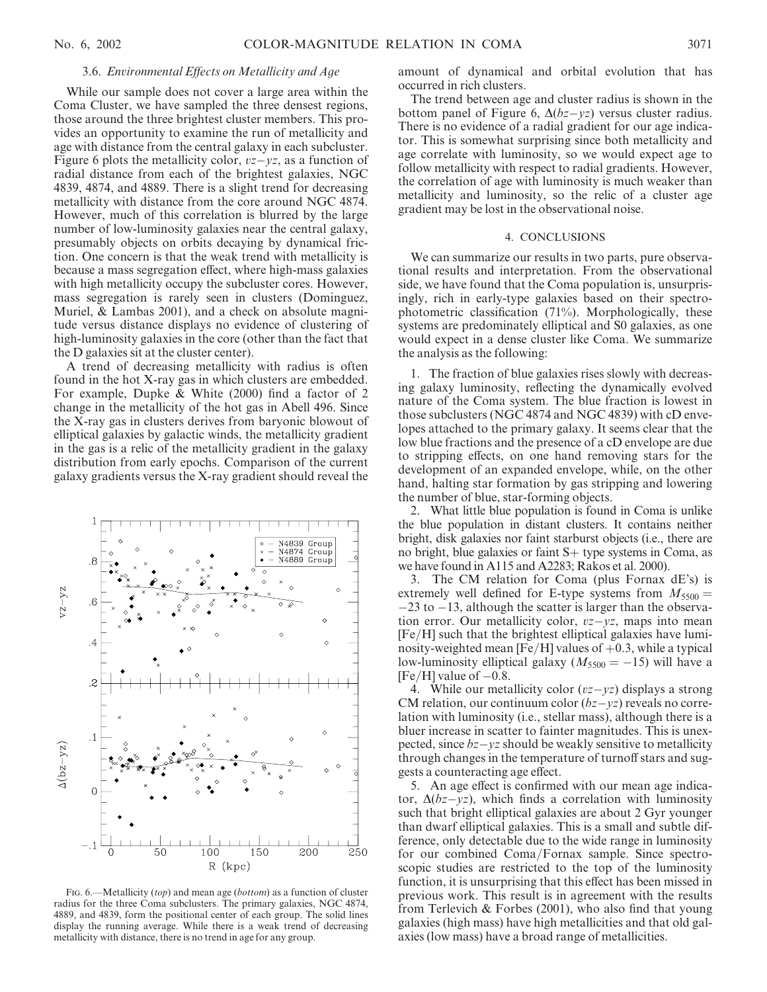### 3.6. Environmental Effects on Metallicity and Age

While our sample does not cover a large area within the Coma Cluster, we have sampled the three densest regions, those around the three brightest cluster members. This provides an opportunity to examine the run of metallicity and age with distance from the central galaxy in each subcluster. Figure 6 plots the metallicity color,  $vz-yz$ , as a function of radial distance from each of the brightest galaxies, NGC 4839, 4874, and 4889. There is a slight trend for decreasing metallicity with distance from the core around NGC 4874. However, much of this correlation is blurred by the large number of low-luminosity galaxies near the central galaxy, presumably objects on orbits decaying by dynamical friction. One concern is that the weak trend with metallicity is because a mass segregation effect, where high-mass galaxies with high metallicity occupy the subcluster cores. However, mass segregation is rarely seen in clusters (Dominguez, Muriel, & Lambas 2001), and a check on absolute magnitude versus distance displays no evidence of clustering of high-luminosity galaxies in the core (other than the fact that the D galaxies sit at the cluster center).

A trend of decreasing metallicity with radius is often found in the hot X-ray gas in which clusters are embedded. For example, Dupke & White (2000) find a factor of 2 change in the metallicity of the hot gas in Abell 496. Since the X-ray gas in clusters derives from baryonic blowout of elliptical galaxies by galactic winds, the metallicity gradient in the gas is a relic of the metallicity gradient in the galaxy distribution from early epochs. Comparison of the current galaxy gradients versus the X-ray gradient should reveal the



Fig. 6.—Metallicity (top) and mean age (bottom) as a function of cluster radius for the three Coma subclusters. The primary galaxies, NGC 4874, 4889, and 4839, form the positional center of each group. The solid lines display the running average. While there is a weak trend of decreasing metallicity with distance, there is no trend in age for any group.

amount of dynamical and orbital evolution that has occurred in rich clusters.

The trend between age and cluster radius is shown in the bottom panel of Figure 6,  $\Delta(bz-yz)$  versus cluster radius. There is no evidence of a radial gradient for our age indicator. This is somewhat surprising since both metallicity and age correlate with luminosity, so we would expect age to follow metallicity with respect to radial gradients. However, the correlation of age with luminosity is much weaker than metallicity and luminosity, so the relic of a cluster age gradient may be lost in the observational noise.

#### 4. CONCLUSIONS

We can summarize our results in two parts, pure observational results and interpretation. From the observational side, we have found that the Coma population is, unsurprisingly, rich in early-type galaxies based on their spectrophotometric classification (71%). Morphologically, these systems are predominately elliptical and S0 galaxies, as one would expect in a dense cluster like Coma. We summarize the analysis as the following:

1. The fraction of blue galaxies rises slowly with decreasing galaxy luminosity, reflecting the dynamically evolved nature of the Coma system. The blue fraction is lowest in those subclusters (NGC 4874 and NGC 4839) with cD envelopes attached to the primary galaxy. It seems clear that the low blue fractions and the presence of a cD envelope are due to stripping effects, on one hand removing stars for the development of an expanded envelope, while, on the other hand, halting star formation by gas stripping and lowering the number of blue, star-forming objects.

2. What little blue population is found in Coma is unlike the blue population in distant clusters. It contains neither bright, disk galaxies nor faint starburst objects (i.e., there are no bright, blue galaxies or faint  $S+$  type systems in Coma, as we have found in A115 and A2283; Rakos et al. 2000).

3. The CM relation for Coma (plus Fornax dE's) is extremely well defined for E-type systems from  $M_{5500} =$  $-23$  to  $-13$ , although the scatter is larger than the observation error. Our metallicity color,  $vz-yz$ , maps into mean [Fe/H] such that the brightest elliptical galaxies have luminosity-weighted mean [Fe/H] values of  $+0.3$ , while a typical low-luminosity elliptical galaxy  $(M_{5500} = -15)$  will have a  $[Fe/H]$  value of  $-0.8$ .

4. While our metallicity color  $(vz-yz)$  displays a strong CM relation, our continuum color  $(bz-yz)$  reveals no correlation with luminosity (i.e., stellar mass), although there is a bluer increase in scatter to fainter magnitudes. This is unexpected, since  $bz - yz$  should be weakly sensitive to metallicity through changes in the temperature of turnoff stars and suggests a counteracting age effect.

5. An age effect is confirmed with our mean age indicator,  $\Delta(bz-yz)$ , which finds a correlation with luminosity such that bright elliptical galaxies are about 2 Gyr younger than dwarf elliptical galaxies. This is a small and subtle difference, only detectable due to the wide range in luminosity for our combined Coma/Fornax sample. Since spectroscopic studies are restricted to the top of the luminosity function, it is unsurprising that this effect has been missed in previous work. This result is in agreement with the results from Terlevich & Forbes (2001), who also find that young galaxies (high mass) have high metallicities and that old galaxies (low mass) have a broad range of metallicities.